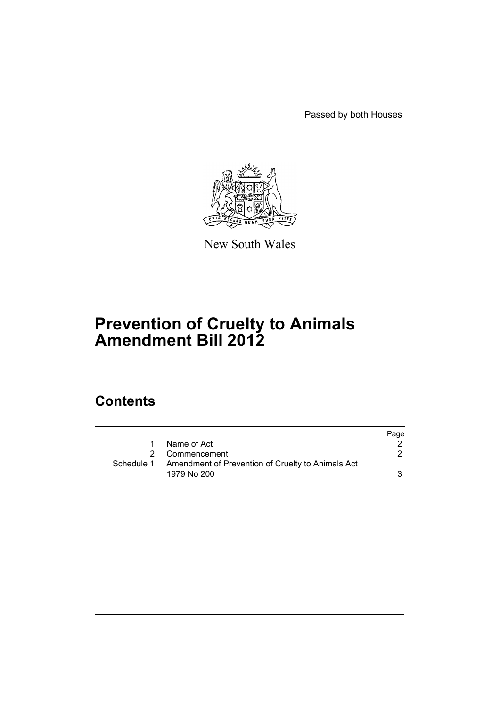Passed by both Houses



New South Wales

# **Prevention of Cruelty to Animals Amendment Bill 2012**

# **Contents**

|            |                                                   | Page |
|------------|---------------------------------------------------|------|
| 1.         | Name of Act                                       |      |
| 2          | Commencement                                      |      |
| Schedule 1 | Amendment of Prevention of Cruelty to Animals Act |      |
|            | 1979 No 200                                       |      |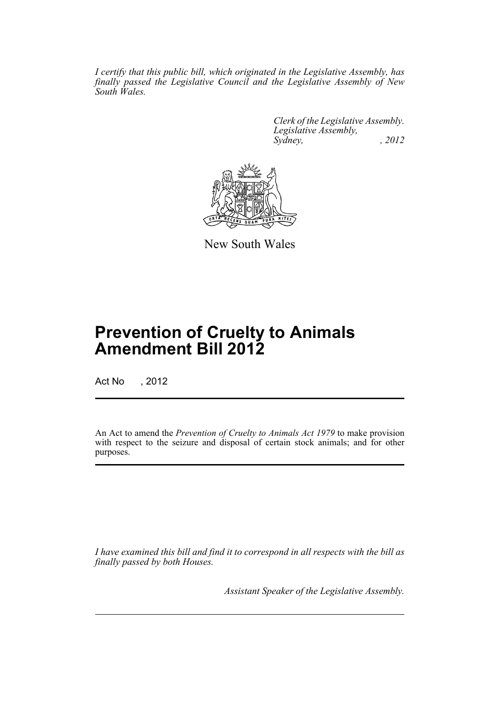*I certify that this public bill, which originated in the Legislative Assembly, has finally passed the Legislative Council and the Legislative Assembly of New South Wales.*

> *Clerk of the Legislative Assembly. Legislative Assembly, Sydney, , 2012*



New South Wales

# **Prevention of Cruelty to Animals Amendment Bill 2012**

Act No , 2012

An Act to amend the *Prevention of Cruelty to Animals Act 1979* to make provision with respect to the seizure and disposal of certain stock animals; and for other purposes.

*I have examined this bill and find it to correspond in all respects with the bill as finally passed by both Houses.*

*Assistant Speaker of the Legislative Assembly.*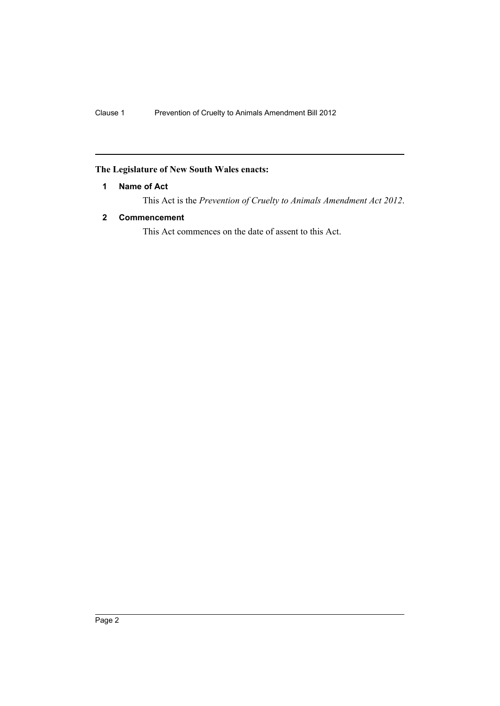# <span id="page-3-0"></span>**The Legislature of New South Wales enacts:**

# **1 Name of Act**

This Act is the *Prevention of Cruelty to Animals Amendment Act 2012*.

# <span id="page-3-1"></span>**2 Commencement**

This Act commences on the date of assent to this Act.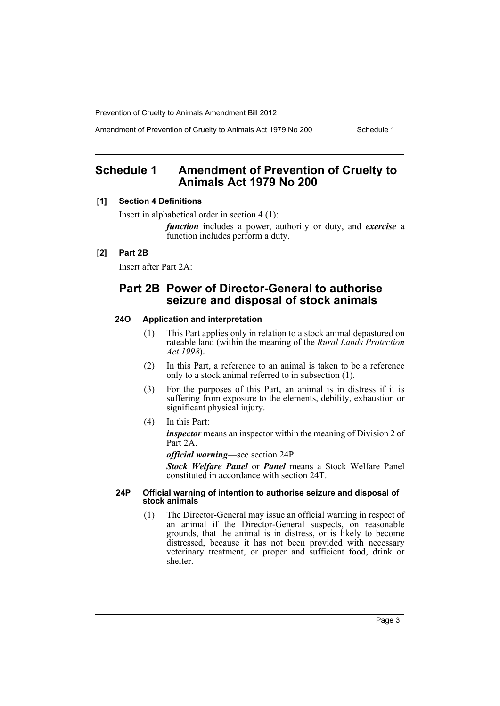Amendment of Prevention of Cruelty to Animals Act 1979 No 200 Schedule 1

# <span id="page-4-0"></span>**Schedule 1 Amendment of Prevention of Cruelty to Animals Act 1979 No 200**

## **[1] Section 4 Definitions**

Insert in alphabetical order in section 4 (1):

*function* includes a power, authority or duty, and *exercise* a function includes perform a duty.

# **[2] Part 2B**

Insert after Part 2A:

# **Part 2B Power of Director-General to authorise seizure and disposal of stock animals**

## **24O Application and interpretation**

- (1) This Part applies only in relation to a stock animal depastured on rateable land (within the meaning of the *Rural Lands Protection Act 1998*).
- (2) In this Part, a reference to an animal is taken to be a reference only to a stock animal referred to in subsection (1).
- (3) For the purposes of this Part, an animal is in distress if it is suffering from exposure to the elements, debility, exhaustion or significant physical injury.
- (4) In this Part:

*inspector* means an inspector within the meaning of Division 2 of Part 2A.

*official warning*—see section 24P.

*Stock Welfare Panel* or *Panel* means a Stock Welfare Panel constituted in accordance with section 24T.

#### **24P Official warning of intention to authorise seizure and disposal of stock animals**

(1) The Director-General may issue an official warning in respect of an animal if the Director-General suspects, on reasonable grounds, that the animal is in distress, or is likely to become distressed, because it has not been provided with necessary veterinary treatment, or proper and sufficient food, drink or shelter.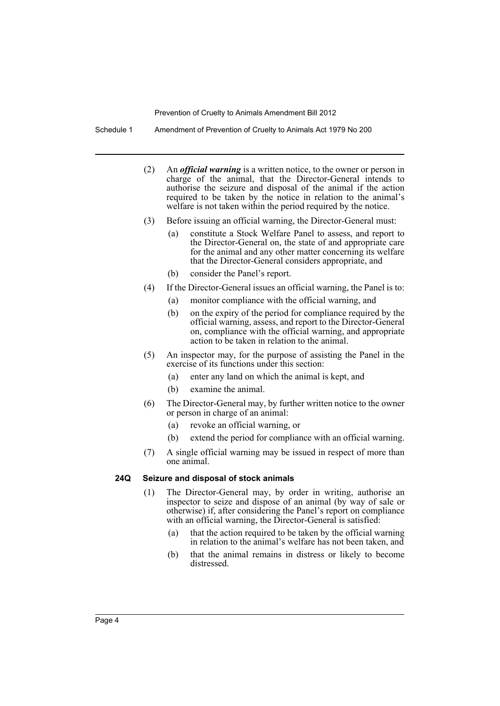Schedule 1 Amendment of Prevention of Cruelty to Animals Act 1979 No 200

- (2) An *official warning* is a written notice, to the owner or person in charge of the animal, that the Director-General intends to authorise the seizure and disposal of the animal if the action required to be taken by the notice in relation to the animal's welfare is not taken within the period required by the notice.
- (3) Before issuing an official warning, the Director-General must:
	- (a) constitute a Stock Welfare Panel to assess, and report to the Director-General on, the state of and appropriate care for the animal and any other matter concerning its welfare that the Director-General considers appropriate, and
	- (b) consider the Panel's report.
- (4) If the Director-General issues an official warning, the Panel is to:
	- (a) monitor compliance with the official warning, and
	- (b) on the expiry of the period for compliance required by the official warning, assess, and report to the Director-General on, compliance with the official warning, and appropriate action to be taken in relation to the animal.
- (5) An inspector may, for the purpose of assisting the Panel in the exercise of its functions under this section:
	- (a) enter any land on which the animal is kept, and
	- (b) examine the animal.
- (6) The Director-General may, by further written notice to the owner or person in charge of an animal:
	- (a) revoke an official warning, or
	- (b) extend the period for compliance with an official warning.
- (7) A single official warning may be issued in respect of more than one animal.

#### **24Q Seizure and disposal of stock animals**

- (1) The Director-General may, by order in writing, authorise an inspector to seize and dispose of an animal (by way of sale or otherwise) if, after considering the Panel's report on compliance with an official warning, the Director-General is satisfied:
	- (a) that the action required to be taken by the official warning in relation to the animal's welfare has not been taken, and
	- (b) that the animal remains in distress or likely to become distressed.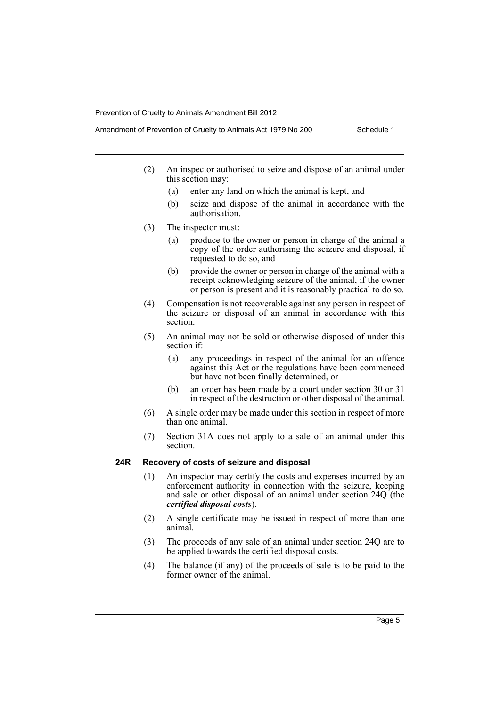- Amendment of Prevention of Cruelty to Animals Act 1979 No 200 Schedule 1
	- (2) An inspector authorised to seize and dispose of an animal under this section may:
		- (a) enter any land on which the animal is kept, and
		- (b) seize and dispose of the animal in accordance with the authorisation.
	- (3) The inspector must:
		- (a) produce to the owner or person in charge of the animal a copy of the order authorising the seizure and disposal, if requested to do so, and
		- (b) provide the owner or person in charge of the animal with a receipt acknowledging seizure of the animal, if the owner or person is present and it is reasonably practical to do so.
	- (4) Compensation is not recoverable against any person in respect of the seizure or disposal of an animal in accordance with this section.
	- (5) An animal may not be sold or otherwise disposed of under this section if:
		- (a) any proceedings in respect of the animal for an offence against this Act or the regulations have been commenced but have not been finally determined, or
		- (b) an order has been made by a court under section 30 or 31 in respect of the destruction or other disposal of the animal.
	- (6) A single order may be made under this section in respect of more than one animal.
	- (7) Section 31A does not apply to a sale of an animal under this section.

## **24R Recovery of costs of seizure and disposal**

- (1) An inspector may certify the costs and expenses incurred by an enforcement authority in connection with the seizure, keeping and sale or other disposal of an animal under section 24Q (the *certified disposal costs*).
- (2) A single certificate may be issued in respect of more than one animal.
- (3) The proceeds of any sale of an animal under section 24Q are to be applied towards the certified disposal costs.
- (4) The balance (if any) of the proceeds of sale is to be paid to the former owner of the animal.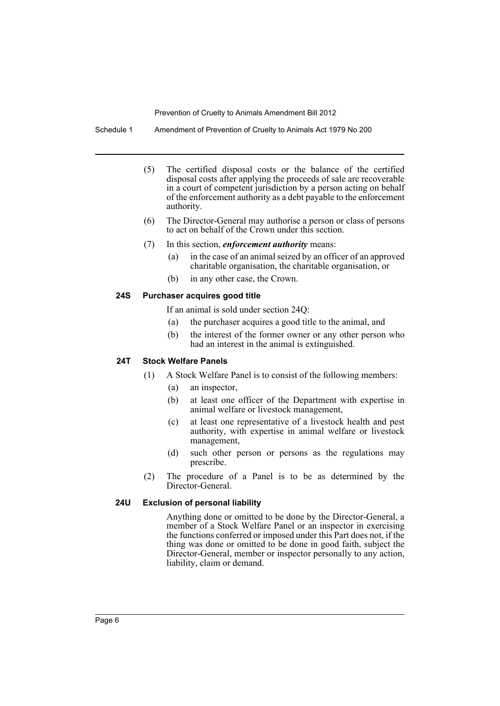Schedule 1 Amendment of Prevention of Cruelty to Animals Act 1979 No 200

- (5) The certified disposal costs or the balance of the certified disposal costs after applying the proceeds of sale are recoverable in a court of competent jurisdiction by a person acting on behalf of the enforcement authority as a debt payable to the enforcement authority.
- (6) The Director-General may authorise a person or class of persons to act on behalf of the Crown under this section.
- (7) In this section, *enforcement authority* means:
	- (a) in the case of an animal seized by an officer of an approved charitable organisation, the charitable organisation, or
	- (b) in any other case, the Crown.

#### **24S Purchaser acquires good title**

If an animal is sold under section 24Q:

- (a) the purchaser acquires a good title to the animal, and
- (b) the interest of the former owner or any other person who had an interest in the animal is extinguished.

## **24T Stock Welfare Panels**

- (1) A Stock Welfare Panel is to consist of the following members:
	- (a) an inspector,
	- (b) at least one officer of the Department with expertise in animal welfare or livestock management,
	- (c) at least one representative of a livestock health and pest authority, with expertise in animal welfare or livestock management,
	- (d) such other person or persons as the regulations may prescribe.
- (2) The procedure of a Panel is to be as determined by the Director-General.

## **24U Exclusion of personal liability**

Anything done or omitted to be done by the Director-General, a member of a Stock Welfare Panel or an inspector in exercising the functions conferred or imposed under this Part does not, if the thing was done or omitted to be done in good faith, subject the Director-General, member or inspector personally to any action, liability, claim or demand.